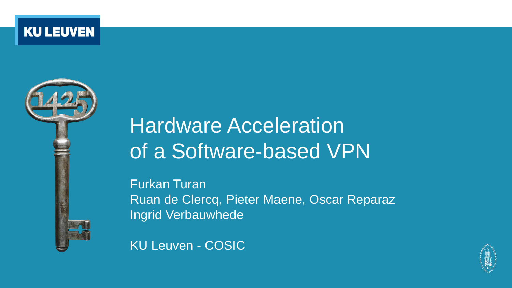**KU LEUVEN** 



# Hardware Acceleration of a Software-based VPN

Furkan Turan Ruan de Clercq, Pieter Maene, Oscar Reparaz Ingrid Verbauwhede



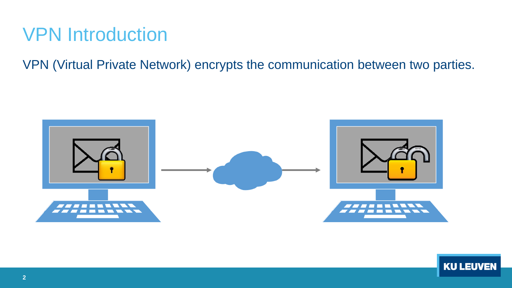### VPN Introduction

VPN (Virtual Private Network) encrypts the communication between two parties.



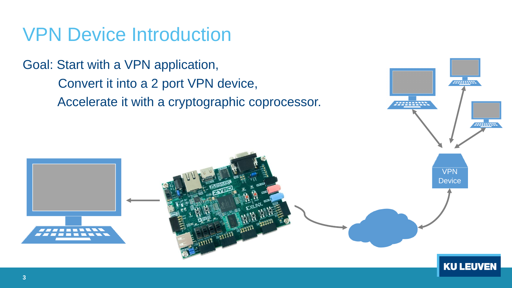### VPN Device Introduction

Goal: Start with a VPN application, Convert it into a 2 port VPN device, Accelerate it with a cryptographic coprocessor.



*<i>III***IIIIIII**II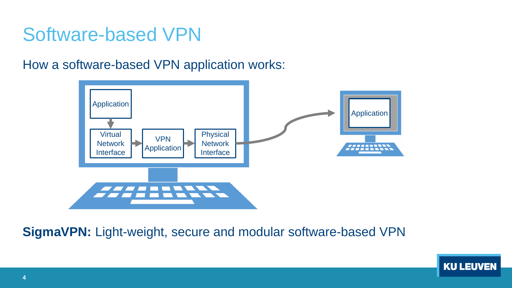### Software-based VPN

How a software-based VPN application works:



#### **SigmaVPN:** Light-weight, secure and modular software-based VPN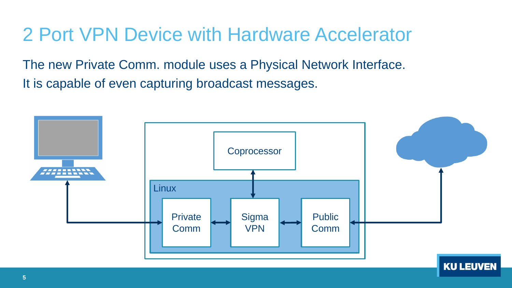### 2 Port VPN Device with Hardware Accelerator

The new Private Comm. module uses a Physical Network Interface. It is capable of even capturing broadcast messages.

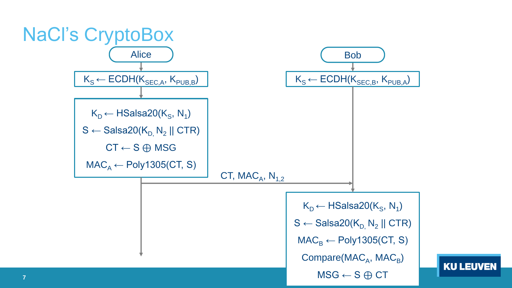

**KU LEUVEN**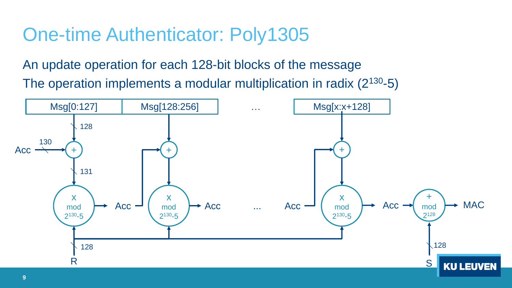# One-time Authenticator: Poly1305

An update operation for each 128-bit blocks of the message The operation implements a modular multiplication in radix (2<sup>130</sup>-5)

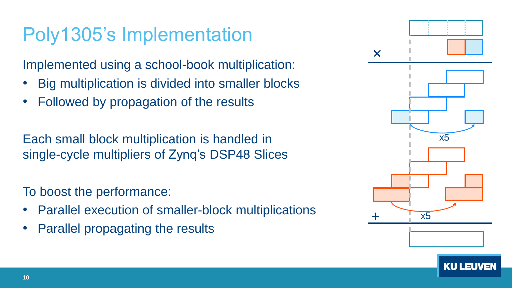# Poly1305's Implementation

Implemented using a school-book multiplication:

- Big multiplication is divided into smaller blocks
- Followed by propagation of the results

Each small block multiplication is handled in single-cycle multipliers of Zynq's DSP48 Slices

To boost the performance:

- Parallel execution of smaller-block multiplications
- Parallel propagating the results

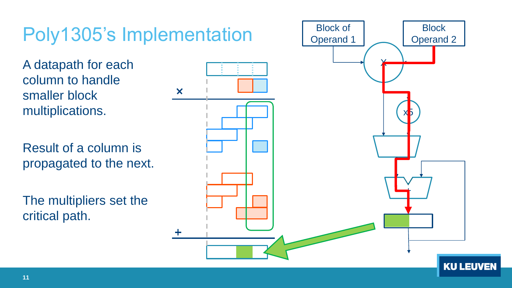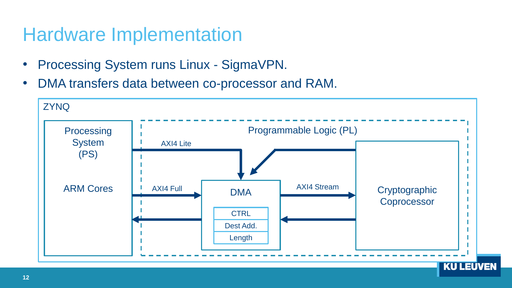### Hardware Implementation

- Processing System runs Linux SigmaVPN.
- DMA transfers data between co-processor and RAM.

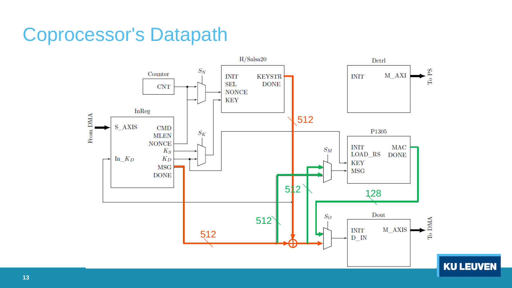### Coprocessor's Datapath

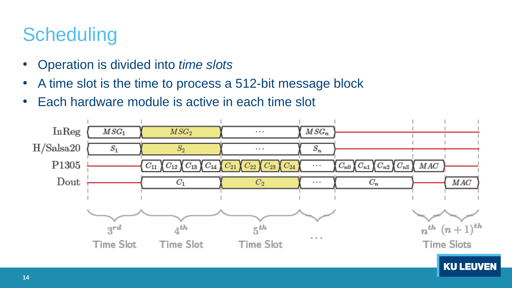# **Scheduling**

- Operation is divided into *time slots*
- A time slot is the time to process a 512-bit message block
- Each hardware module is active in each time slot

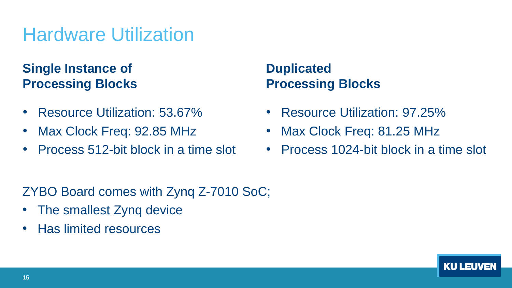# Hardware Utilization

### **Single Instance of Processing Blocks**

- Resource Utilization: 53.67%
- Max Clock Freq: 92.85 MHz
- Process 512-bit block in a time slot

### **Duplicated Processing Blocks**

- Resource Utilization: 97.25%
- Max Clock Freq: 81.25 MHz
- Process 1024-bit block in a time slot

ZYBO Board comes with Zynq Z-7010 SoC;

- The smallest Zyng device
- Has limited resources

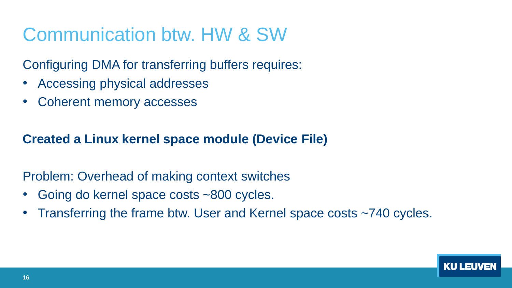# Communication btw. HW & SW

Configuring DMA for transferring buffers requires:

- Accessing physical addresses
- Coherent memory accesses

### **Created a Linux kernel space module (Device File)**

Problem: Overhead of making context switches

- Going do kernel space costs ~800 cycles.
- Transferring the frame btw. User and Kernel space costs ~740 cycles.

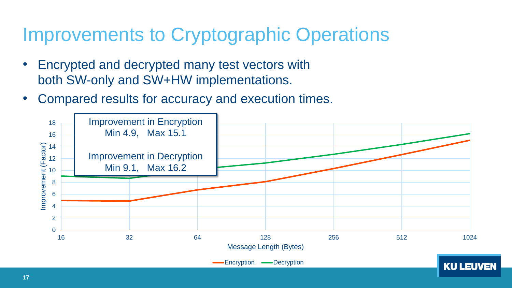### Improvements to Cryptographic Operations

- Encrypted and decrypted many test vectors with both SW-only and SW+HW implementations.
- Compared results for accuracy and execution times.

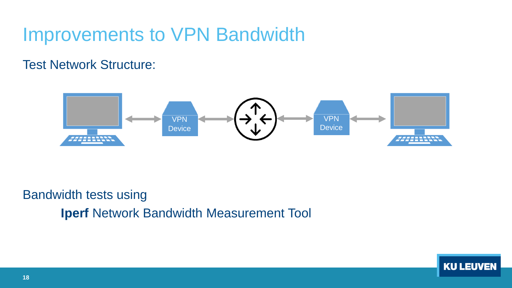### Improvements to VPN Bandwidth

### Test Network Structure:



Bandwidth tests using **Iperf** Network Bandwidth Measurement Tool

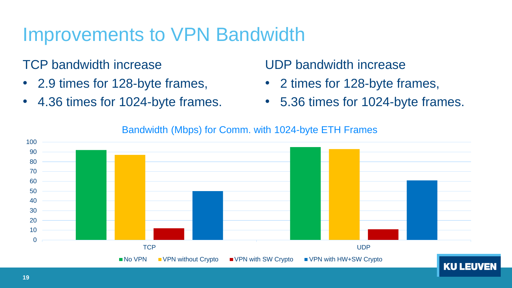### Improvements to VPN Bandwidth

### TCP bandwidth increase

- 2.9 times for 128-byte frames,
- 4.36 times for 1024-byte frames.

### UDP bandwidth increase

- 2 times for 128-byte frames,
- 5.36 times for 1024-byte frames.



#### Bandwidth (Mbps) for Comm. with 1024-byte ETH Frames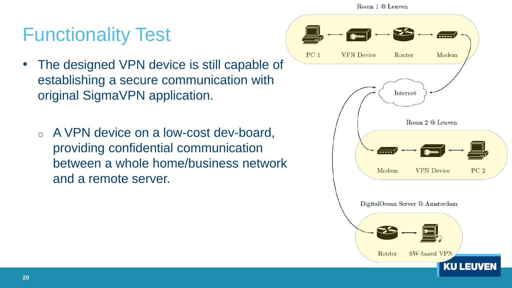Room 1 @ Leuven

 $PC<sub>1</sub>$ 

# Functionality Test

- The designed VPN device is still capable of establishing a secure communication with original SigmaVPN application.
	- o A VPN device on a low-cost dev-board, providing confidential communication between a whole home/business network and a remote server.